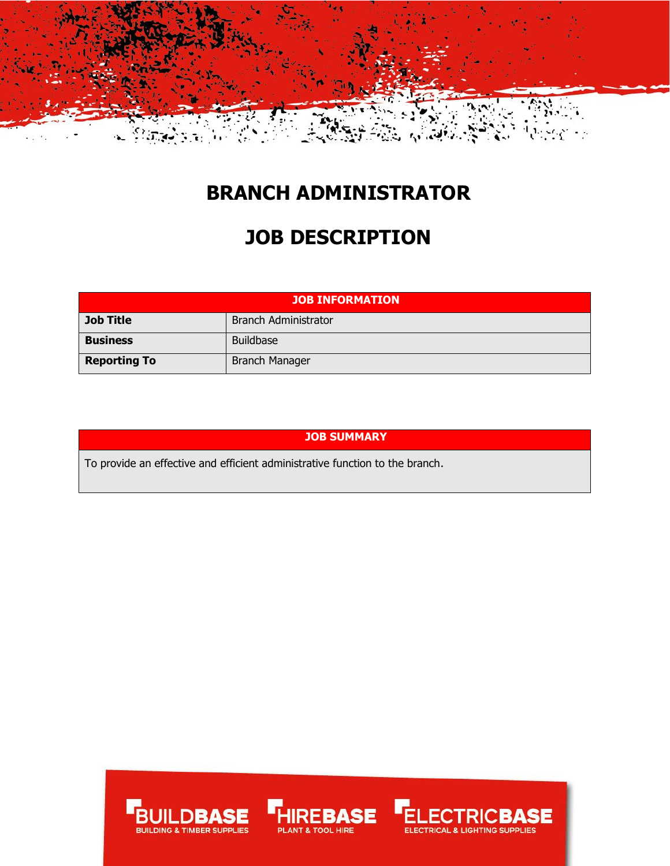

### **BRANCH ADMINISTRATOR**

## **JOB DESCRIPTION**

| <b>JOB INFORMATION</b> |                             |  |
|------------------------|-----------------------------|--|
| <b>Job Title</b>       | <b>Branch Administrator</b> |  |
| <b>Business</b>        | <b>Buildbase</b>            |  |
| <b>Reporting To</b>    | <b>Branch Manager</b>       |  |

#### **JOB SUMMARY**

To provide an effective and efficient administrative function to the branch.





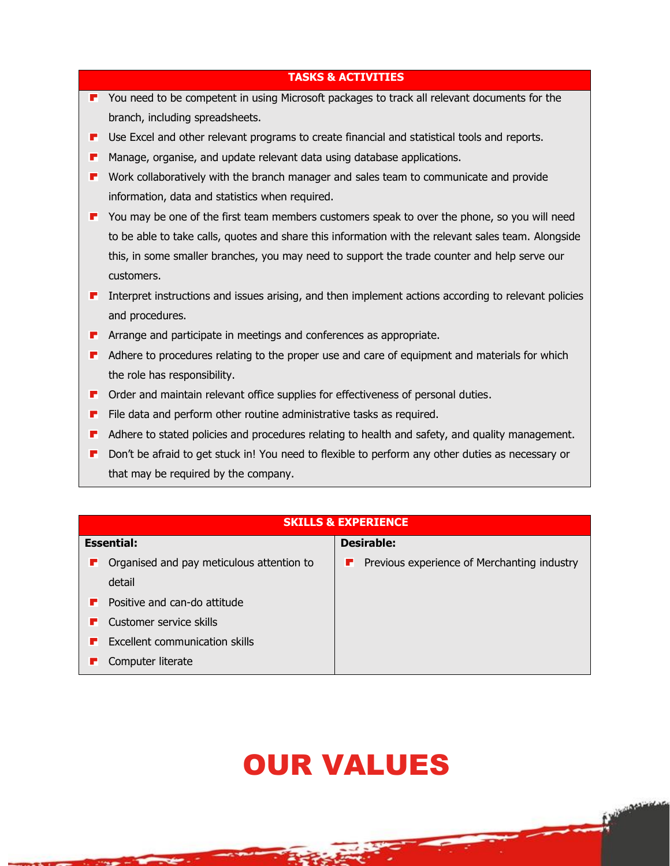| <b>TASKS &amp; ACTIVITIES</b> |                                                                                                      |  |
|-------------------------------|------------------------------------------------------------------------------------------------------|--|
| н.                            | You need to be competent in using Microsoft packages to track all relevant documents for the         |  |
|                               | branch, including spreadsheets.                                                                      |  |
| г                             | Use Excel and other relevant programs to create financial and statistical tools and reports.         |  |
| г                             | Manage, organise, and update relevant data using database applications.                              |  |
| п                             | Work collaboratively with the branch manager and sales team to communicate and provide               |  |
|                               | information, data and statistics when required.                                                      |  |
| п                             | You may be one of the first team members customers speak to over the phone, so you will need         |  |
|                               | to be able to take calls, quotes and share this information with the relevant sales team. Alongside  |  |
|                               | this, in some smaller branches, you may need to support the trade counter and help serve our         |  |
|                               | customers.                                                                                           |  |
| п                             | Interpret instructions and issues arising, and then implement actions according to relevant policies |  |
|                               | and procedures.                                                                                      |  |
| ш                             | Arrange and participate in meetings and conferences as appropriate.                                  |  |
| u.                            | Adhere to procedures relating to the proper use and care of equipment and materials for which        |  |
|                               | the role has responsibility.                                                                         |  |
| F                             | Order and maintain relevant office supplies for effectiveness of personal duties.                    |  |
| г                             | File data and perform other routine administrative tasks as required.                                |  |
| г                             | Adhere to stated policies and procedures relating to health and safety, and quality management.      |  |
| F                             | Don't be afraid to get stuck in! You need to flexible to perform any other duties as necessary or    |  |
|                               | that may be required by the company.                                                                 |  |

| <b>SKILLS &amp; EXPERIENCE</b>                 |                                                  |  |  |
|------------------------------------------------|--------------------------------------------------|--|--|
| <b>Essential:</b>                              | <b>Desirable:</b>                                |  |  |
| Organised and pay meticulous attention to<br>ш | Previous experience of Merchanting industry<br>г |  |  |
| detail                                         |                                                  |  |  |
| Positive and can-do attitude<br>н              |                                                  |  |  |
| Customer service skills<br>ш                   |                                                  |  |  |
| Excellent communication skills<br>ш            |                                                  |  |  |
| Computer literate                              |                                                  |  |  |

# OUR VALUES

**Communication** 

 $\overline{\phantom{a}}$ 

⊷

≂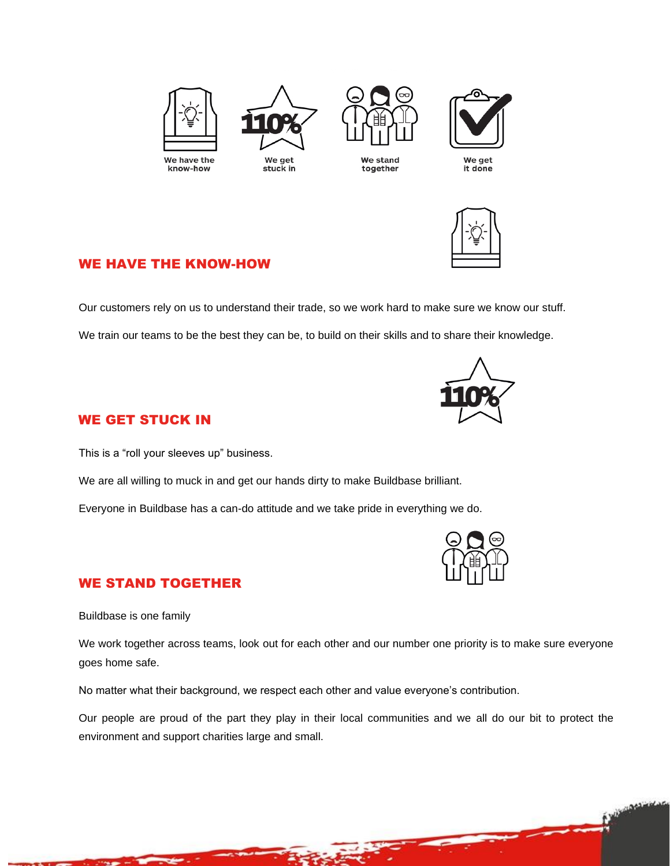



together



We get<br>it done



#### WE HAVE THE KNOW-HOW

Our customers rely on us to understand their trade, so we work hard to make sure we know our stuff.

We train our teams to be the best they can be, to build on their skills and to share their knowledge.



#### WE GET STUCK IN

This is a "roll your sleeves up" business.

We are all willing to muck in and get our hands dirty to make Buildbase brilliant.

Everyone in Buildbase has a can-do attitude and we take pride in everything we do.



Purismanagement

#### WE STAND TOGETHER

Buildbase is one family

We work together across teams, look out for each other and our number one priority is to make sure everyone goes home safe.

No matter what their background, we respect each other and value everyone's contribution.

Our people are proud of the part they play in their local communities and we all do our bit to protect the environment and support charities large and small.